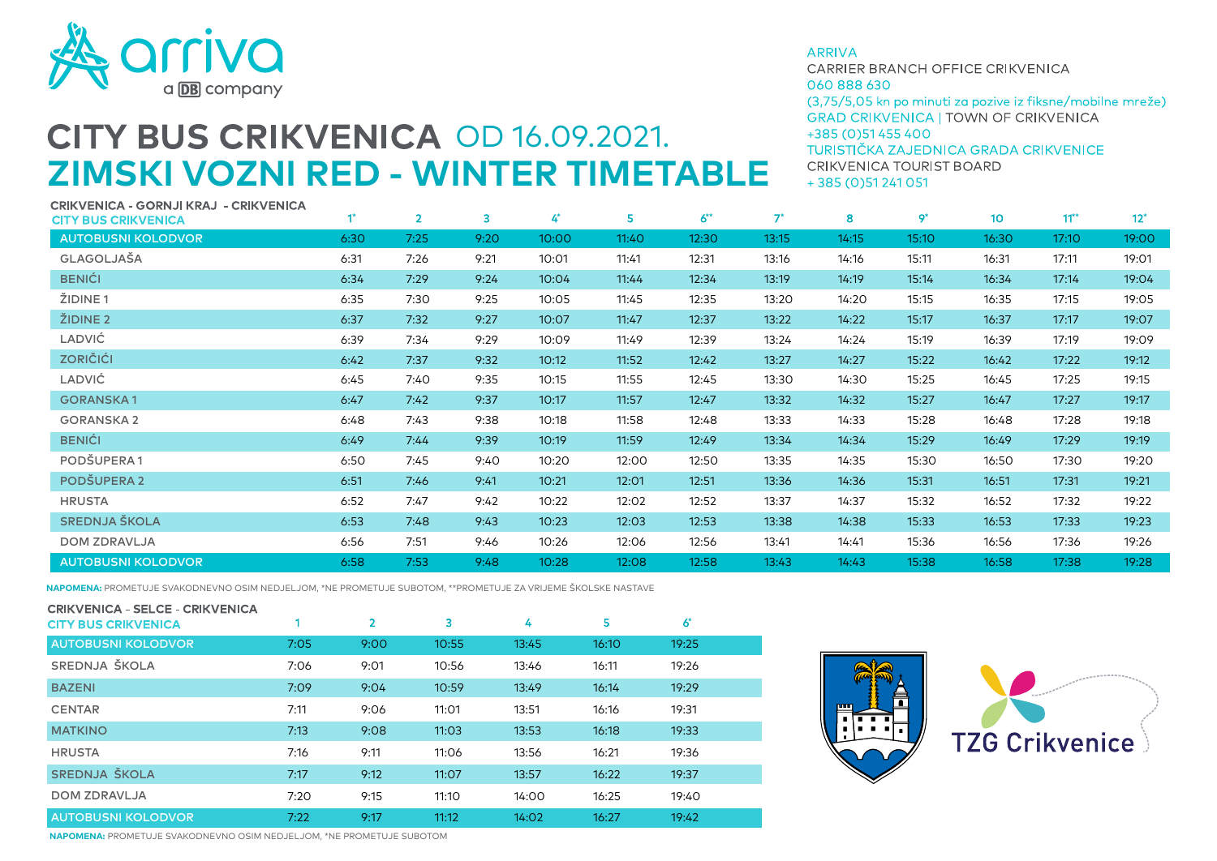

## **CITY BUS CRIKVENICA OD 16.09.2021. ZIMSKI VOZNI RED - WINTER TIMETABLE**

**ARRIVA** 

CARRIER BRANCH OFFICE CRIKVENICA 060 888 630 (3,75/5,05 kn po minuti za pozive iz fiksne/mobilne mreže) **GRAD CRIKVENICA I TOWN OF CRIKVENICA** +385 (0) 51 455 400 TURISTIČKA ZAJEDNICA GRADA CRIKVENICE

CRIKVENICA TOURIST BOARD  $+385(0)51241051$ 

| CRIKVENICA - GORNJI KRAJ  - CRIKVENICA<br><b>CITY BUS CRIKVENICA</b> |      | $\overline{2}$ | 3    | 4*    | 5     | $6^{**}$ | $7^*$ | 8     | $9^*$ | 10 <sup>°</sup> | $11**$ | $12*$ |
|----------------------------------------------------------------------|------|----------------|------|-------|-------|----------|-------|-------|-------|-----------------|--------|-------|
| <b>AUTOBUSNI KOLODVOR</b>                                            | 6:30 | 7:25           | 9:20 | 10:00 | 11:40 | 12:30    | 13:15 | 14:15 | 15:10 | 16:30           | 17:10  | 19:00 |
| GLAGOLJAŠA                                                           | 6:31 | 7:26           | 9:21 | 10:01 | 11:41 | 12:31    | 13:16 | 14:16 | 15:11 | 16:31           | 17:11  | 19:01 |
| <b>BENIĆI</b>                                                        | 6:34 | 7:29           | 9:24 | 10:04 | 11:44 | 12:34    | 13:19 | 14:19 | 15:14 | 16:34           | 17:14  | 19:04 |
| ŽIDINE <sub>1</sub>                                                  | 6:35 | 7:30           | 9:25 | 10:05 | 11:45 | 12:35    | 13:20 | 14:20 | 15:15 | 16:35           | 17:15  | 19:05 |
| ŽIDINE <sub>2</sub>                                                  | 6:37 | 7:32           | 9:27 | 10:07 | 11:47 | 12:37    | 13:22 | 14:22 | 15:17 | 16:37           | 17:17  | 19:07 |
| <b>LADVIĆ</b>                                                        | 6:39 | 7:34           | 9:29 | 10:09 | 11:49 | 12:39    | 13:24 | 14:24 | 15:19 | 16:39           | 17:19  | 19:09 |
| <b>ZORIČIĆI</b>                                                      | 6:42 | 7:37           | 9:32 | 10:12 | 11:52 | 12:42    | 13:27 | 14:27 | 15:22 | 16:42           | 17:22  | 19:12 |
| <b>LADVIĆ</b>                                                        | 6:45 | 7:40           | 9:35 | 10:15 | 11:55 | 12:45    | 13:30 | 14:30 | 15:25 | 16:45           | 17:25  | 19:15 |
| <b>GORANSKA1</b>                                                     | 6:47 | 7:42           | 9:37 | 10:17 | 11:57 | 12:47    | 13:32 | 14:32 | 15:27 | 16:47           | 17:27  | 19:17 |
| <b>GORANSKA2</b>                                                     | 6:48 | 7:43           | 9:38 | 10:18 | 11:58 | 12:48    | 13:33 | 14:33 | 15:28 | 16:48           | 17:28  | 19:18 |
| <b>BENIĆI</b>                                                        | 6:49 | 7:44           | 9:39 | 10:19 | 11:59 | 12:49    | 13:34 | 14:34 | 15:29 | 16:49           | 17:29  | 19:19 |
| PODŠUPERA1                                                           | 6:50 | 7:45           | 9:40 | 10:20 | 12:00 | 12:50    | 13:35 | 14:35 | 15:30 | 16:50           | 17:30  | 19:20 |
| <b>PODŠUPERA 2</b>                                                   | 6:51 | 7:46           | 9:41 | 10:21 | 12:01 | 12:51    | 13:36 | 14:36 | 15:31 | 16:51           | 17:31  | 19:21 |
| <b>HRUSTA</b>                                                        | 6:52 | 7:47           | 9:42 | 10:22 | 12:02 | 12:52    | 13:37 | 14:37 | 15:32 | 16:52           | 17:32  | 19:22 |
| SREDNJA ŠKOLA                                                        | 6:53 | 7:48           | 9:43 | 10:23 | 12:03 | 12:53    | 13:38 | 14:38 | 15:33 | 16:53           | 17:33  | 19:23 |
| <b>DOM ZDRAVLJA</b>                                                  | 6:56 | 7:51           | 9:46 | 10:26 | 12:06 | 12:56    | 13:41 | 14:41 | 15:36 | 16:56           | 17:36  | 19:26 |
| <b>AUTOBUSNI KOLODVOR</b>                                            | 6:58 | 7:53           | 9:48 | 10:28 | 12:08 | 12:58    | 13:43 | 14:43 | 15:38 | 16:58           | 17:38  | 19:28 |

**NAPOMENA:** PROMETUJE SVAKODNEVNO OSIM NEDJELJOM, \*NE PROMETUJE SUBOTOM, \*\*PROMETUJE ZA VRIJEME ŠKOLSKE NASTAVE

| <b>CRIKVENICA - SELCE - CRIKVENICA</b><br><b>CITY BUS CRIKVENICA</b> |      | $\overline{2}$ | 3     | 4     | 5     | $6*$  |  |
|----------------------------------------------------------------------|------|----------------|-------|-------|-------|-------|--|
| <b>AUTOBUSNI KOLODVOR</b>                                            | 7:05 | 9:00           | 10:55 | 13:45 | 16:10 | 19:25 |  |
| SREDNJA ŠKOLA                                                        | 7:06 | 9:01           | 10:56 | 13:46 | 16:11 | 19:26 |  |
| <b>BAZENI</b>                                                        | 7:09 | 9:04           | 10:59 | 13:49 | 16:14 | 19:29 |  |
| <b>CENTAR</b>                                                        | 7:11 | 9:06           | 11:01 | 13:51 | 16:16 | 19:31 |  |
| <b>MATKINO</b>                                                       | 7:13 | 9:08           | 11:03 | 13:53 | 16:18 | 19:33 |  |
| <b>HRUSTA</b>                                                        | 7:16 | 9:11           | 11:06 | 13:56 | 16:21 | 19:36 |  |
| SREDNJA ŠKOLA                                                        | 7:17 | 9:12           | 11:07 | 13:57 | 16:22 | 19:37 |  |
| <b>DOM ZDRAVLJA</b>                                                  | 7:20 | 9:15           | 11:10 | 14:00 | 16:25 | 19:40 |  |
| <b>AUTOBUSNI KOLODVOR</b>                                            | 7:22 | 9:17           | 11:12 | 14:02 | 16:27 | 19:42 |  |





**NAPOMENA:** PROMETUJE SVAKODNEVNO OSIM NEDJELJOM, \*NE PROMETUJE SUBOTOM